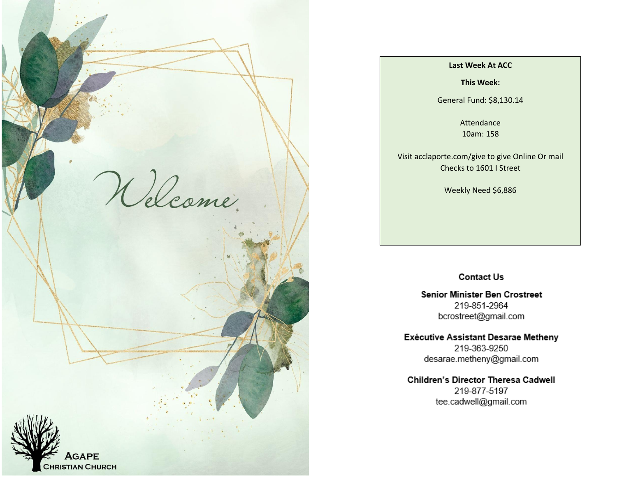

#### **Last Week At ACC**

**This Week:**

General Fund: \$8,130.14

Attendance 10am: 158

Visit acclaporte.com/give to give Online Or mail Checks to 1601 I Street

Weekly Need \$6,886

### **Contact Us**

**Senior Minister Ben Crostreet** 219-851-2964 bcrostreet@gmail.com

Exécutive Assistant Desarae Metheny 219-363-9250 desarae.metheny@gmail.com

Children's Director Theresa Cadwell 219-877-5197 tee.cadwell@gmail.com